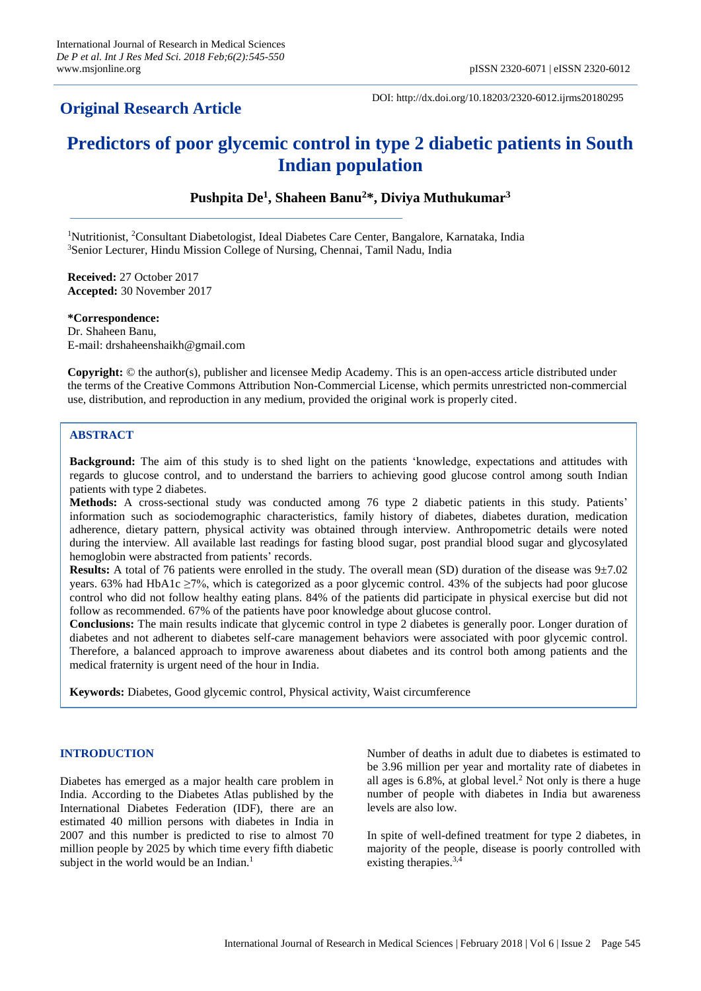# **Original Research Article**

DOI: http://dx.doi.org/10.18203/2320-6012.ijrms20180295

# **Predictors of poor glycemic control in type 2 diabetic patients in South Indian population**

**Pushpita De<sup>1</sup> , Shaheen Banu<sup>2</sup>\*, Diviya Muthukumar<sup>3</sup>**

<sup>1</sup>Nutritionist, <sup>2</sup>Consultant Diabetologist, Ideal Diabetes Care Center, Bangalore, Karnataka, India <sup>3</sup>Senior Lecturer, Hindu Mission College of Nursing, Chennai, Tamil Nadu, India

**Received:** 27 October 2017 **Accepted:** 30 November 2017

**\*Correspondence:** Dr. Shaheen Banu, E-mail: drshaheenshaikh@gmail.com

**Copyright:** © the author(s), publisher and licensee Medip Academy. This is an open-access article distributed under the terms of the Creative Commons Attribution Non-Commercial License, which permits unrestricted non-commercial use, distribution, and reproduction in any medium, provided the original work is properly cited.

# **ABSTRACT**

**Background:** The aim of this study is to shed light on the patients 'knowledge, expectations and attitudes with regards to glucose control, and to understand the barriers to achieving good glucose control among south Indian patients with type 2 diabetes.

**Methods:** A cross-sectional study was conducted among 76 type 2 diabetic patients in this study. Patients' information such as sociodemographic characteristics, family history of diabetes, diabetes duration, medication adherence, dietary pattern, physical activity was obtained through interview. Anthropometric details were noted during the interview. All available last readings for fasting blood sugar, post prandial blood sugar and glycosylated hemoglobin were abstracted from patients' records.

**Results:** A total of 76 patients were enrolled in the study. The overall mean (SD) duration of the disease was 9±7.02 years. 63% had HbA1c ≥7%, which is categorized as a poor glycemic control. 43% of the subjects had poor glucose control who did not follow healthy eating plans. 84% of the patients did participate in physical exercise but did not follow as recommended. 67% of the patients have poor knowledge about glucose control.

**Conclusions:** The main results indicate that glycemic control in type 2 diabetes is generally poor. Longer duration of diabetes and not adherent to diabetes self-care management behaviors were associated with poor glycemic control. Therefore, a balanced approach to improve awareness about diabetes and its control both among patients and the medical fraternity is urgent need of the hour in India.

**Keywords:** Diabetes, Good glycemic control, Physical activity, Waist circumference

# **INTRODUCTION**

Diabetes has emerged as a major health care problem in India. According to the Diabetes Atlas published by the International Diabetes Federation (IDF), there are an estimated 40 million persons with diabetes in India in 2007 and this number is predicted to rise to almost 70 million people by 2025 by which time every fifth diabetic subject in the world would be an Indian.<sup>1</sup>

Number of deaths in adult due to diabetes is estimated to be 3.96 million per year and mortality rate of diabetes in all ages is 6.8%, at global level. <sup>2</sup> Not only is there a huge number of people with diabetes in India but awareness levels are also low.

In spite of well-defined treatment for type 2 diabetes, in majority of the people, disease is poorly controlled with existing therapies. 3,4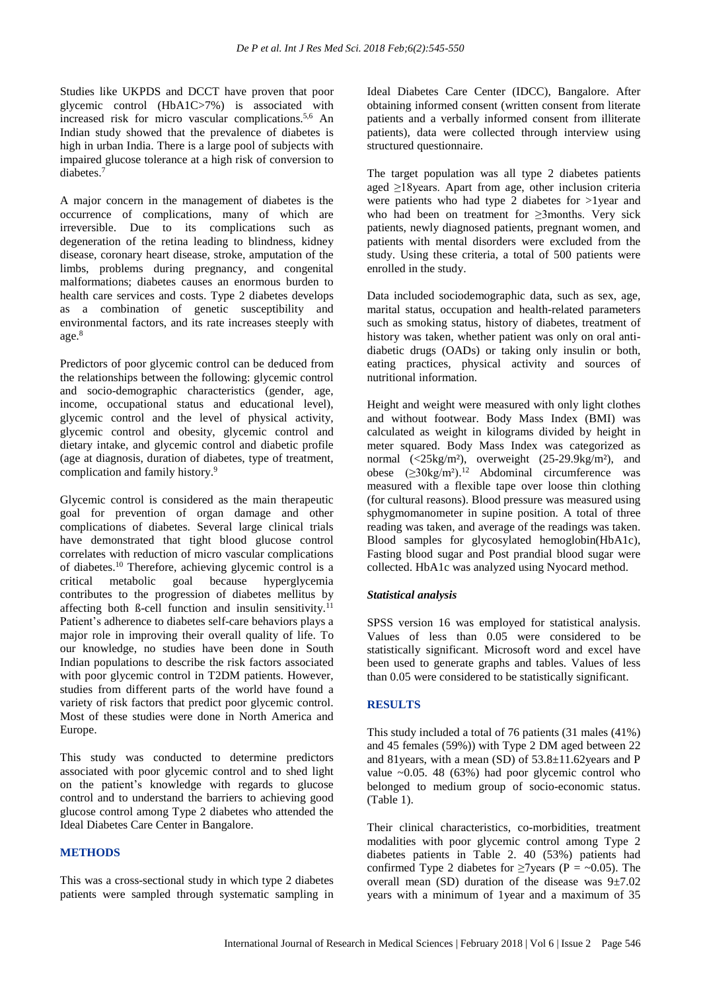Studies like UKPDS and DCCT have proven that poor glycemic control (HbA1C>7%) is associated with increased risk for micro vascular complications.<sup>5,6</sup> An Indian study showed that the prevalence of diabetes is high in urban India. There is a large pool of subjects with impaired glucose tolerance at a high risk of conversion to diabetes. 7

A major concern in the management of diabetes is the occurrence of complications, many of which are irreversible. Due to its complications such as degeneration of the retina leading to blindness, kidney disease, coronary heart disease, stroke, amputation of the limbs, problems during pregnancy, and congenital malformations; diabetes causes an enormous burden to health care services and costs. Type 2 diabetes develops as a combination of genetic susceptibility and environmental factors, and its rate increases steeply with age. 8

Predictors of poor glycemic control can be deduced from the relationships between the following: glycemic control and socio-demographic characteristics (gender, age, income, occupational status and educational level), glycemic control and the level of physical activity, glycemic control and obesity, glycemic control and dietary intake, and glycemic control and diabetic profile (age at diagnosis, duration of diabetes, type of treatment, complication and family history. 9

Glycemic control is considered as the main therapeutic goal for prevention of organ damage and other complications of diabetes. Several large clinical trials have demonstrated that tight blood glucose control correlates with reduction of micro vascular complications of diabetes.<sup>10</sup> Therefore, achieving glycemic control is a critical metabolic goal because hyperglycemia contributes to the progression of diabetes mellitus by affecting both ß-cell function and insulin sensitivity.<sup>11</sup> Patient's adherence to diabetes self-care behaviors plays a major role in improving their overall quality of life. To our knowledge, no studies have been done in South Indian populations to describe the risk factors associated with poor glycemic control in T2DM patients. However, studies from different parts of the world have found a variety of risk factors that predict poor glycemic control. Most of these studies were done in North America and Europe.

This study was conducted to determine predictors associated with poor glycemic control and to shed light on the patient's knowledge with regards to glucose control and to understand the barriers to achieving good glucose control among Type 2 diabetes who attended the Ideal Diabetes Care Center in Bangalore.

#### **METHODS**

This was a cross-sectional study in which type 2 diabetes patients were sampled through systematic sampling in Ideal Diabetes Care Center (IDCC), Bangalore. After obtaining informed consent (written consent from literate patients and a verbally informed consent from illiterate patients), data were collected through interview using structured questionnaire.

The target population was all type 2 diabetes patients aged ≥18years. Apart from age, other inclusion criteria were patients who had type 2 diabetes for >1year and who had been on treatment for ≥3months. Very sick patients, newly diagnosed patients, pregnant women, and patients with mental disorders were excluded from the study. Using these criteria, a total of 500 patients were enrolled in the study.

Data included sociodemographic data, such as sex, age, marital status, occupation and health-related parameters such as smoking status, history of diabetes, treatment of history was taken, whether patient was only on oral antidiabetic drugs (OADs) or taking only insulin or both, eating practices, physical activity and sources of nutritional information.

Height and weight were measured with only light clothes and without footwear. Body Mass Index (BMI) was calculated as weight in kilograms divided by height in meter squared. Body Mass Index was categorized as normal (<25kg/m²), overweight (25-29.9kg/m²), and obese (≥30kg/m²). <sup>12</sup> Abdominal circumference was measured with a flexible tape over loose thin clothing (for cultural reasons). Blood pressure was measured using sphygmomanometer in supine position. A total of three reading was taken, and average of the readings was taken. Blood samples for glycosylated hemoglobin(HbA1c), Fasting blood sugar and Post prandial blood sugar were collected. HbA1c was analyzed using Nyocard method.

#### *Statistical analysis*

SPSS version 16 was employed for statistical analysis. Values of less than 0.05 were considered to be statistically significant. Microsoft word and excel have been used to generate graphs and tables. Values of less than 0.05 were considered to be statistically significant.

#### **RESULTS**

This study included a total of 76 patients (31 males (41%) and 45 females (59%)) with Type 2 DM aged between 22 and 81years, with a mean (SD) of 53.8±11.62years and P value  $\sim 0.05$ . 48 (63%) had poor glycemic control who belonged to medium group of socio-economic status. (Table 1).

Their clinical characteristics, co-morbidities, treatment modalities with poor glycemic control among Type 2 diabetes patients in Table 2. 40 (53%) patients had confirmed Type 2 diabetes for  $\geq$ 7years (P = ~0.05). The overall mean (SD) duration of the disease was 9±7.02 years with a minimum of 1year and a maximum of 35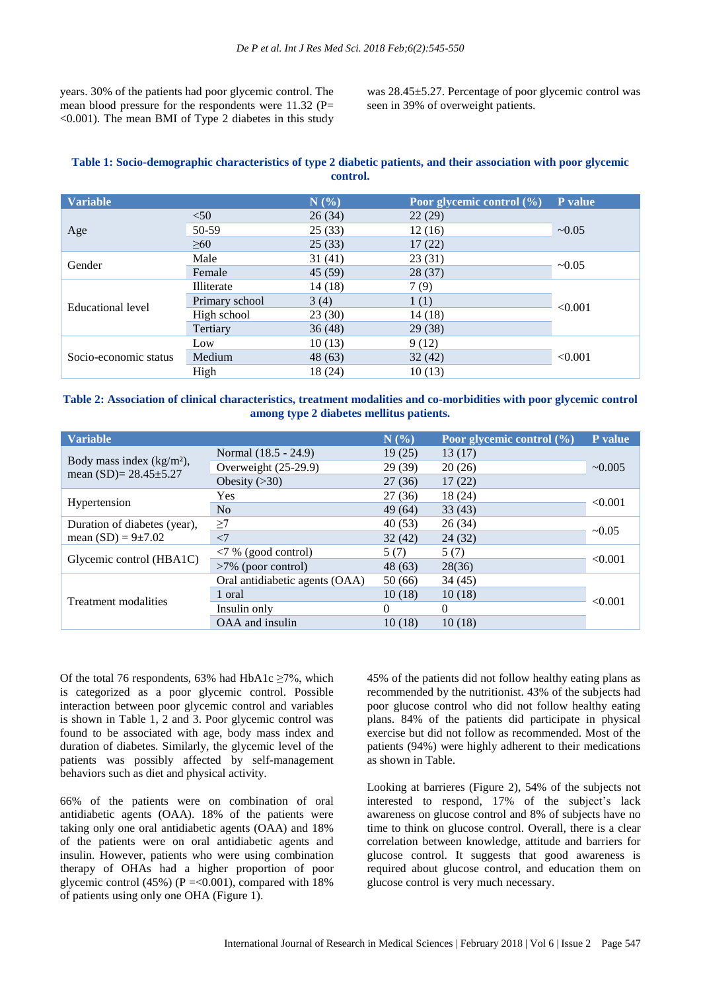years. 30% of the patients had poor glycemic control. The mean blood pressure for the respondents were  $11.32$  (P=  $\leq 0.001$ ). The mean BMI of Type 2 diabetes in this study was 28.45±5.27. Percentage of poor glycemic control was seen in 39% of overweight patients.

# **Table 1: Socio-demographic characteristics of type 2 diabetic patients, and their association with poor glycemic control.**

| <b>Variable</b>       |                   | N(%)    | Poor glycemic control (%) | P value |  |
|-----------------------|-------------------|---------|---------------------------|---------|--|
| Age                   | < 50              | 26(34)  | 22(29)                    |         |  |
|                       | 50-59             | 25(33)  | 12(16)                    | ~10.05  |  |
|                       | >60               | 25(33)  | 17(22)                    |         |  |
| Gender                | Male              | 31(41)  | 23(31)                    | ~10.05  |  |
|                       | Female            | 45 (59) | 28(37)                    |         |  |
| Educational level     | <b>Illiterate</b> | 14(18)  | 7(9)                      |         |  |
|                       | Primary school    | 3(4)    | 1(1)                      | < 0.001 |  |
|                       | High school       | 23(30)  | 14 (18)                   |         |  |
|                       | Tertiary          | 36(48)  | 29(38)                    |         |  |
| Socio-economic status | Low               | 10(13)  | 9(12)                     |         |  |
|                       | Medium            | 48 (63) | 32(42)                    | < 0.001 |  |
|                       | High              | 18 (24) | 10(13)                    |         |  |

**Table 2: Association of clinical characteristics, treatment modalities and co-morbidities with poor glycemic control among type 2 diabetes mellitus patients.**

| <b>Variable</b>                                          |                                | N(%      | Poor glycemic control $(\% )$ | P value      |  |
|----------------------------------------------------------|--------------------------------|----------|-------------------------------|--------------|--|
| Body mass index $(kg/m2)$ ,<br>mean $(SD)=28.45\pm5.27$  | Normal (18.5 - 24.9)           | 19(25)   | 13(17)                        |              |  |
|                                                          | Overweight $(25-29.9)$         | 29(39)   | 20(26)                        | $\sim 0.005$ |  |
|                                                          | Obesity $(>30)$                | 27(36)   | 17(22)                        |              |  |
| Hypertension                                             | <b>Yes</b>                     | 27(36)   | 18 (24)                       |              |  |
|                                                          | No                             | 49 (64)  | 33(43)                        | < 0.001      |  |
| Duration of diabetes (year),<br>mean $(SD) = 9 \pm 7.02$ | $\geq$ 7                       | 40(53)   | 26(34)                        | $\sim 0.05$  |  |
|                                                          | $\langle$ 7                    | 32(42)   | 24 (32)                       |              |  |
| Glycemic control (HBA1C)                                 | $\langle 7\%$ (good control)   | 5(7)     | 5(7)                          | < 0.001      |  |
|                                                          | $>7\%$ (poor control)          | 48 (63)  | 28(36)                        |              |  |
| Treatment modalities                                     | Oral antidiabetic agents (OAA) | 50(66)   | 34(45)                        |              |  |
|                                                          | 1 oral                         | 10(18)   | 10(18)                        | < 0.001      |  |
|                                                          | Insulin only                   | $\Omega$ | $\theta$                      |              |  |
|                                                          | OAA and insulin                | 10(18)   | 10(18)                        |              |  |

Of the total 76 respondents, 63% had HbA1c  $\geq$ 7%, which is categorized as a poor glycemic control. Possible interaction between poor glycemic control and variables is shown in Table 1, 2 and 3. Poor glycemic control was found to be associated with age, body mass index and duration of diabetes. Similarly, the glycemic level of the patients was possibly affected by self-management behaviors such as diet and physical activity.

66% of the patients were on combination of oral antidiabetic agents (OAA). 18% of the patients were taking only one oral antidiabetic agents (OAA) and 18% of the patients were on oral antidiabetic agents and insulin. However, patients who were using combination therapy of OHAs had a higher proportion of poor glycemic control (45%) ( $P = 0.001$ ), compared with 18% of patients using only one OHA (Figure 1).

45% of the patients did not follow healthy eating plans as recommended by the nutritionist. 43% of the subjects had poor glucose control who did not follow healthy eating plans. 84% of the patients did participate in physical exercise but did not follow as recommended. Most of the patients (94%) were highly adherent to their medications as shown in Table.

Looking at barrieres (Figure 2), 54% of the subjects not interested to respond, 17% of the subject's lack awareness on glucose control and 8% of subjects have no time to think on glucose control. Overall, there is a clear correlation between knowledge, attitude and barriers for glucose control. It suggests that good awareness is required about glucose control, and education them on glucose control is very much necessary.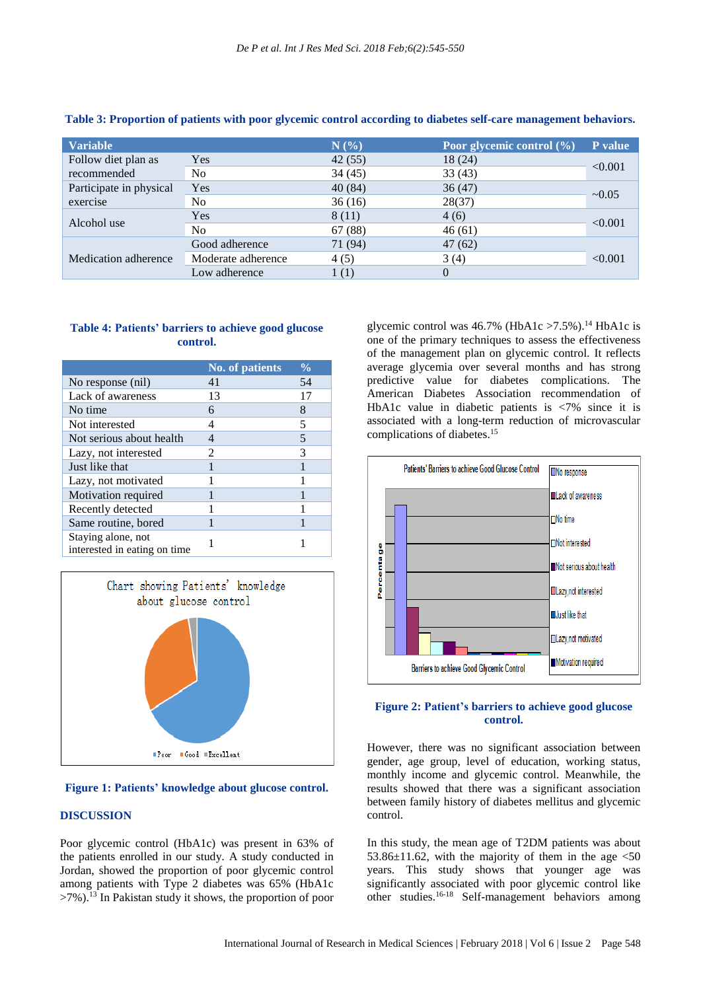| <b>Variable</b>         |                    | N(%)    | Poor glycemic control (%) | P value     |
|-------------------------|--------------------|---------|---------------------------|-------------|
| Follow diet plan as     | Yes                | 42(55)  | 18(24)                    | < 0.001     |
| recommended             | No.                | 34 (45) | 33(43)                    |             |
| Participate in physical | <b>Yes</b>         | 40(84)  | 36(47)                    | $\sim 0.05$ |
| exercise                | No                 | 36(16)  | 28(37)                    |             |
| Alcohol use             | Yes                | 8 (11)  | 4(6)                      | < 0.001     |
|                         | N <sub>0</sub>     | 67 (88) | 46(61)                    |             |
| Medication adherence    | Good adherence     | 71 (94) | 47(62)                    |             |
|                         | Moderate adherence | 4(5)    | 3(4)                      | < 0.001     |
|                         | Low adherence      | 1(1)    | $\theta$                  |             |

### **Table 3: Proportion of patients with poor glycemic control according to diabetes self-care management behaviors.**

# **Table 4: Patients' barriers to achieve good glucose control.**

|                                                    | <b>No. of patients</b> | $\frac{0}{0}$ |
|----------------------------------------------------|------------------------|---------------|
| No response (nil)                                  | 41                     | 54            |
| Lack of awareness                                  | 13                     | 17            |
| No time                                            | 6                      | 8             |
| Not interested                                     | 4                      | 5             |
| Not serious about health                           |                        | 5             |
| Lazy, not interested                               | 2                      | 3             |
| Just like that                                     |                        |               |
| Lazy, not motivated                                |                        |               |
| Motivation required                                |                        |               |
| Recently detected                                  |                        |               |
| Same routine, bored                                |                        |               |
| Staying alone, not<br>interested in eating on time |                        |               |



#### **Figure 1: Patients' knowledge about glucose control.**

#### **DISCUSSION**

Poor glycemic control (HbA1c) was present in 63% of the patients enrolled in our study. A study conducted in Jordan, showed the proportion of poor glycemic control among patients with Type 2 diabetes was 65% (HbA1c >7%). <sup>13</sup> In Pakistan study it shows, the proportion of poor

glycemic control was  $46.7\%$  (HbA1c >7.5%).<sup>14</sup> HbA1c is one of the primary techniques to assess the effectiveness of the management plan on glycemic control. It reflects average glycemia over several months and has strong predictive value for diabetes complications. The American Diabetes Association recommendation of HbA1c value in diabetic patients is <7% since it is associated with a long-term reduction of microvascular complications of diabetes. 15



#### **Figure 2: Patient's barriers to achieve good glucose control.**

However, there was no significant association between gender, age group, level of education, working status, monthly income and glycemic control. Meanwhile, the results showed that there was a significant association between family history of diabetes mellitus and glycemic control.

In this study, the mean age of T2DM patients was about 53.86 $\pm$ 11.62, with the majority of them in the age  $\leq$ 50 years. This study shows that younger age was significantly associated with poor glycemic control like other studies. 16-18 Self-management behaviors among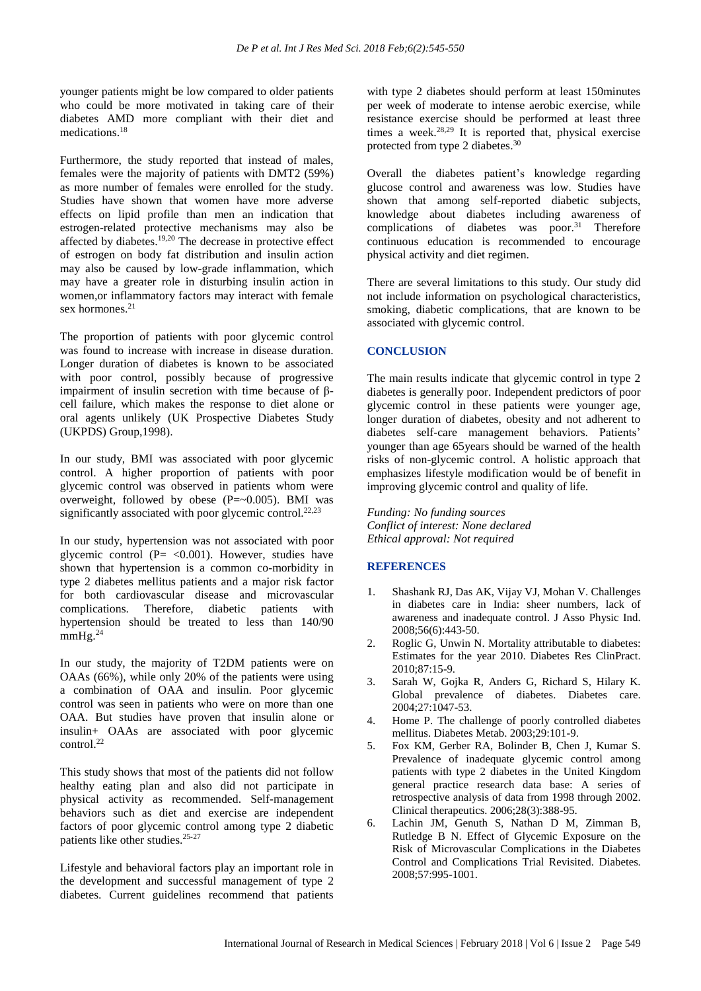younger patients might be low compared to older patients who could be more motivated in taking care of their diabetes AMD more compliant with their diet and medications. 18

Furthermore, the study reported that instead of males, females were the majority of patients with DMT2 (59%) as more number of females were enrolled for the study. Studies have shown that women have more adverse effects on lipid profile than men an indication that estrogen-related protective mechanisms may also be affected by diabetes.19,20 The decrease in protective effect of estrogen on body fat distribution and insulin action may also be caused by low-grade inflammation, which may have a greater role in disturbing insulin action in women,or inflammatory factors may interact with female sex hormones. 21

The proportion of patients with poor glycemic control was found to increase with increase in disease duration. Longer duration of diabetes is known to be associated with poor control, possibly because of progressive impairment of insulin secretion with time because of βcell failure, which makes the response to diet alone or oral agents unlikely (UK Prospective Diabetes Study (UKPDS) Group,1998).

In our study, BMI was associated with poor glycemic control. A higher proportion of patients with poor glycemic control was observed in patients whom were overweight, followed by obese  $(P = 0.005)$ . BMI was significantly associated with poor glycemic control.<sup>22,23</sup>

In our study, hypertension was not associated with poor glycemic control  $(P = < 0.001)$ . However, studies have shown that hypertension is a common co-morbidity in type 2 diabetes mellitus patients and a major risk factor for both cardiovascular disease and microvascular complications. Therefore, diabetic patients with hypertension should be treated to less than 140/90  $mmHg.<sup>24</sup>$ 

In our study, the majority of T2DM patients were on OAAs (66%), while only 20% of the patients were using a combination of OAA and insulin. Poor glycemic control was seen in patients who were on more than one OAA. But studies have proven that insulin alone or insulin+ OAAs are associated with poor glycemic control. 22

This study shows that most of the patients did not follow healthy eating plan and also did not participate in physical activity as recommended. Self-management behaviors such as diet and exercise are independent factors of poor glycemic control among type 2 diabetic patients like other studies. 25-27

Lifestyle and behavioral factors play an important role in the development and successful management of type 2 diabetes. Current guidelines recommend that patients with type 2 diabetes should perform at least 150minutes per week of moderate to intense aerobic exercise, while resistance exercise should be performed at least three times a week. 28,29 It is reported that, physical exercise protected from type 2 diabetes. 30

Overall the diabetes patient's knowledge regarding glucose control and awareness was low. Studies have shown that among self-reported diabetic subjects, knowledge about diabetes including awareness of complications of diabetes was poor. <sup>31</sup> Therefore continuous education is recommended to encourage physical activity and diet regimen.

There are several limitations to this study. Our study did not include information on psychological characteristics, smoking, diabetic complications, that are known to be associated with glycemic control.

# **CONCLUSION**

The main results indicate that glycemic control in type 2 diabetes is generally poor. Independent predictors of poor glycemic control in these patients were younger age, longer duration of diabetes, obesity and not adherent to diabetes self-care management behaviors. Patients' younger than age 65years should be warned of the health risks of non-glycemic control. A holistic approach that emphasizes lifestyle modification would be of benefit in improving glycemic control and quality of life.

*Funding: No funding sources Conflict of interest: None declared Ethical approval: Not required*

# **REFERENCES**

- 1. Shashank RJ, Das AK, Vijay VJ, Mohan V. Challenges in diabetes care in India: sheer numbers, lack of awareness and inadequate control. J Asso Physic Ind. 2008;56(6):443-50.
- 2. Roglic G, Unwin N. Mortality attributable to diabetes: Estimates for the year 2010. Diabetes Res ClinPract. 2010;87:15-9.
- 3. Sarah W, Gojka R, Anders G, Richard S, Hilary K. Global prevalence of diabetes. Diabetes care. 2004;27:1047-53.
- 4. Home P. The challenge of poorly controlled diabetes mellitus. Diabetes Metab. 2003;29:101-9.
- 5. Fox KM, Gerber RA, Bolinder B, Chen J, Kumar S. Prevalence of inadequate glycemic control among patients with type 2 diabetes in the United Kingdom general practice research data base: A series of retrospective analysis of data from 1998 through 2002. Clinical therapeutics. 2006;28(3):388-95.
- 6. Lachin JM, Genuth S, Nathan D M, Zimman B, Rutledge B N. Effect of Glycemic Exposure on the Risk of Microvascular Complications in the Diabetes Control and Complications Trial Revisited. Diabetes. 2008;57:995-1001.